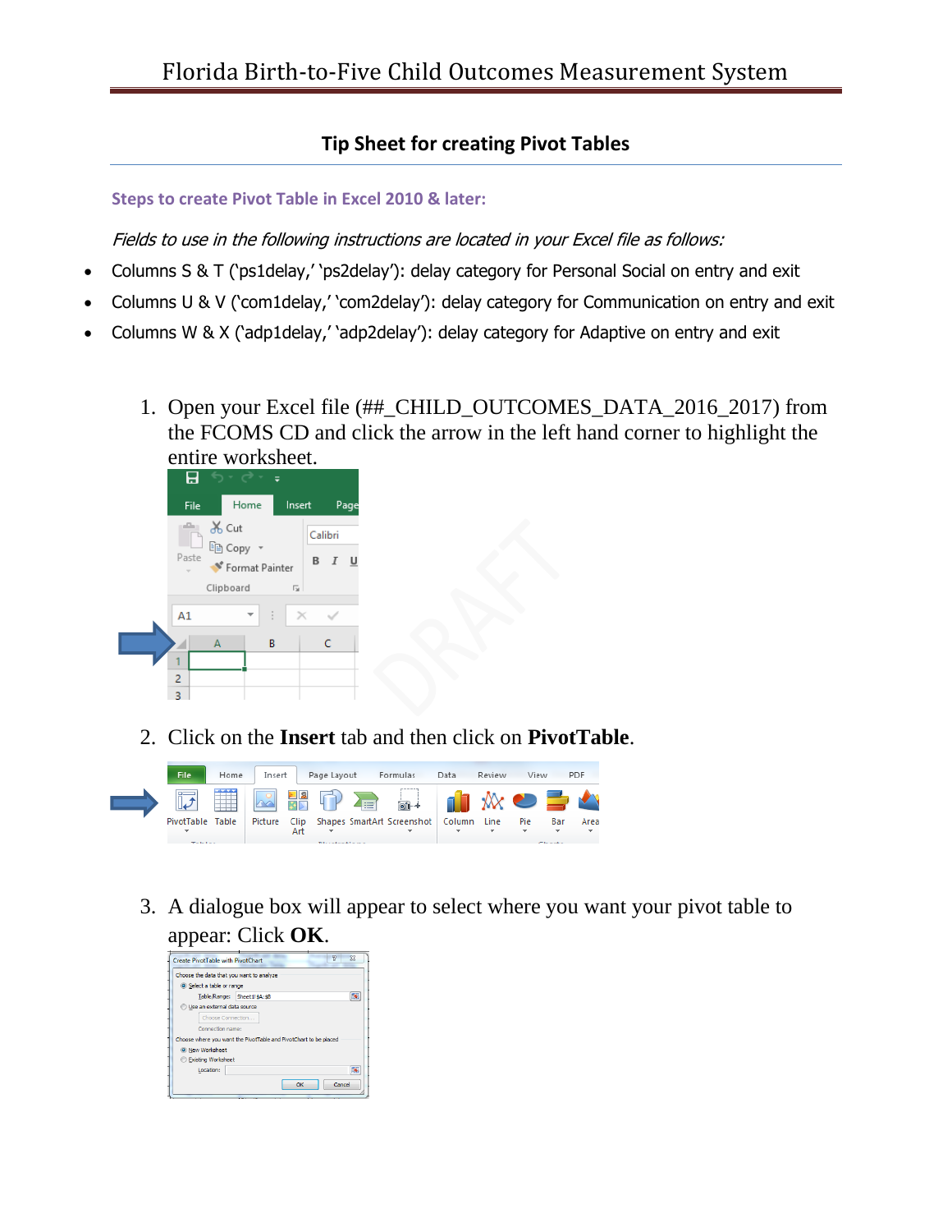## **Tip Sheet for creating Pivot Tables**

## **Steps to create Pivot Table in Excel 2010 & later:**

Fields to use in the following instructions are located in your Excel file as follows:

- Columns S & T ('ps1delay,' 'ps2delay'): delay category for Personal Social on entry and exit
- Columns U & V ('com1delay,' 'com2delay'): delay category for Communication on entry and exit
- Columns W & X ('adp1delay,' 'adp2delay'): delay category for Adaptive on entry and exit
	- 1. Open your Excel file (##\_CHILD\_OUTCOMES\_DATA\_2016\_2017) from the FCOMS CD and click the arrow in the left hand corner to highlight the entire worksheet.



2. Click on the **Insert** tab and then click on **PivotTable**.



3. A dialogue box will appear to select where you want your pivot table to appear: Click **OK**.

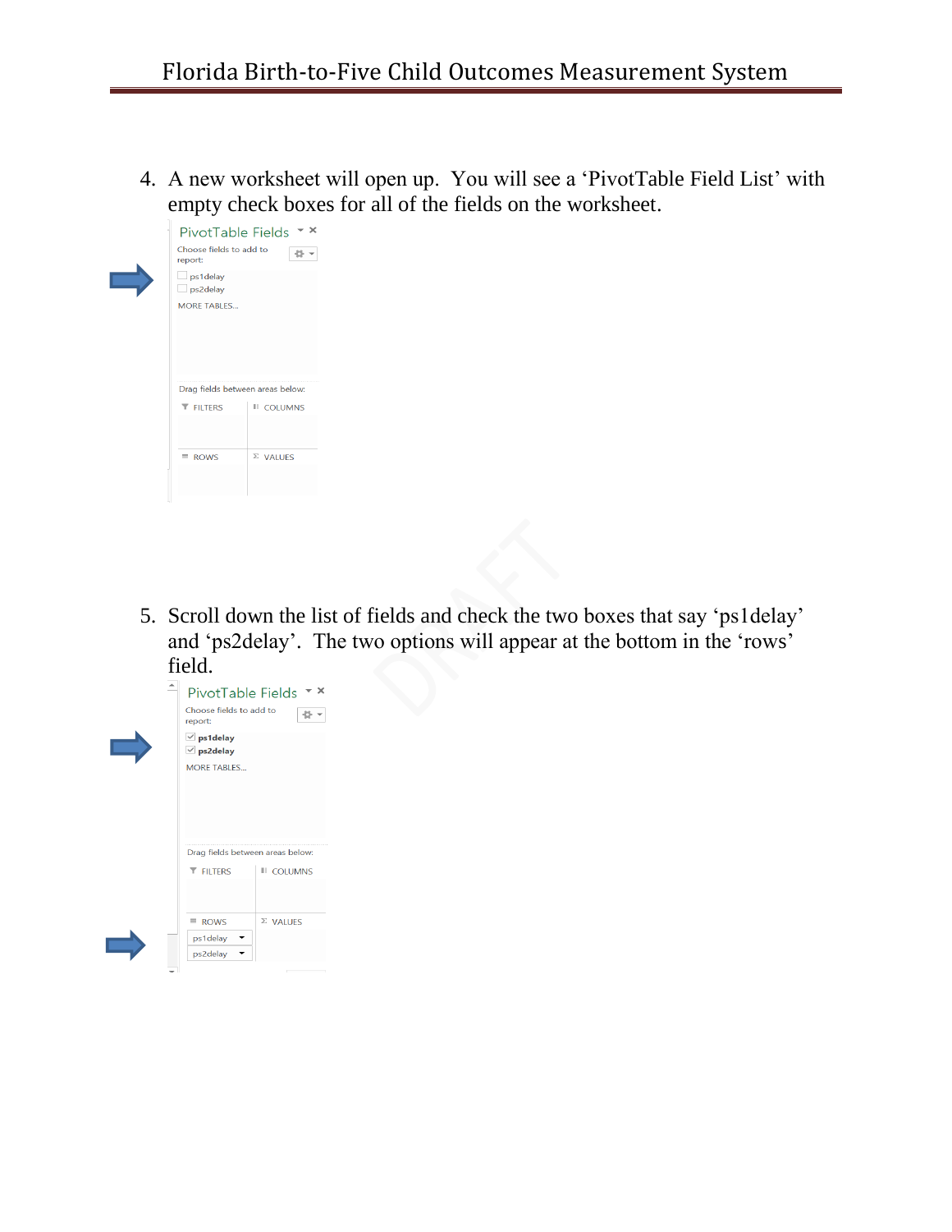4. A new worksheet will open up. You will see a 'PivotTable Field List' with empty check boxes for all of the fields on the worksheet.



5. Scroll down the list of fields and check the two boxes that say 'ps1delay' and 'ps2delay'. The two options will appear at the bottom in the 'rows' field.

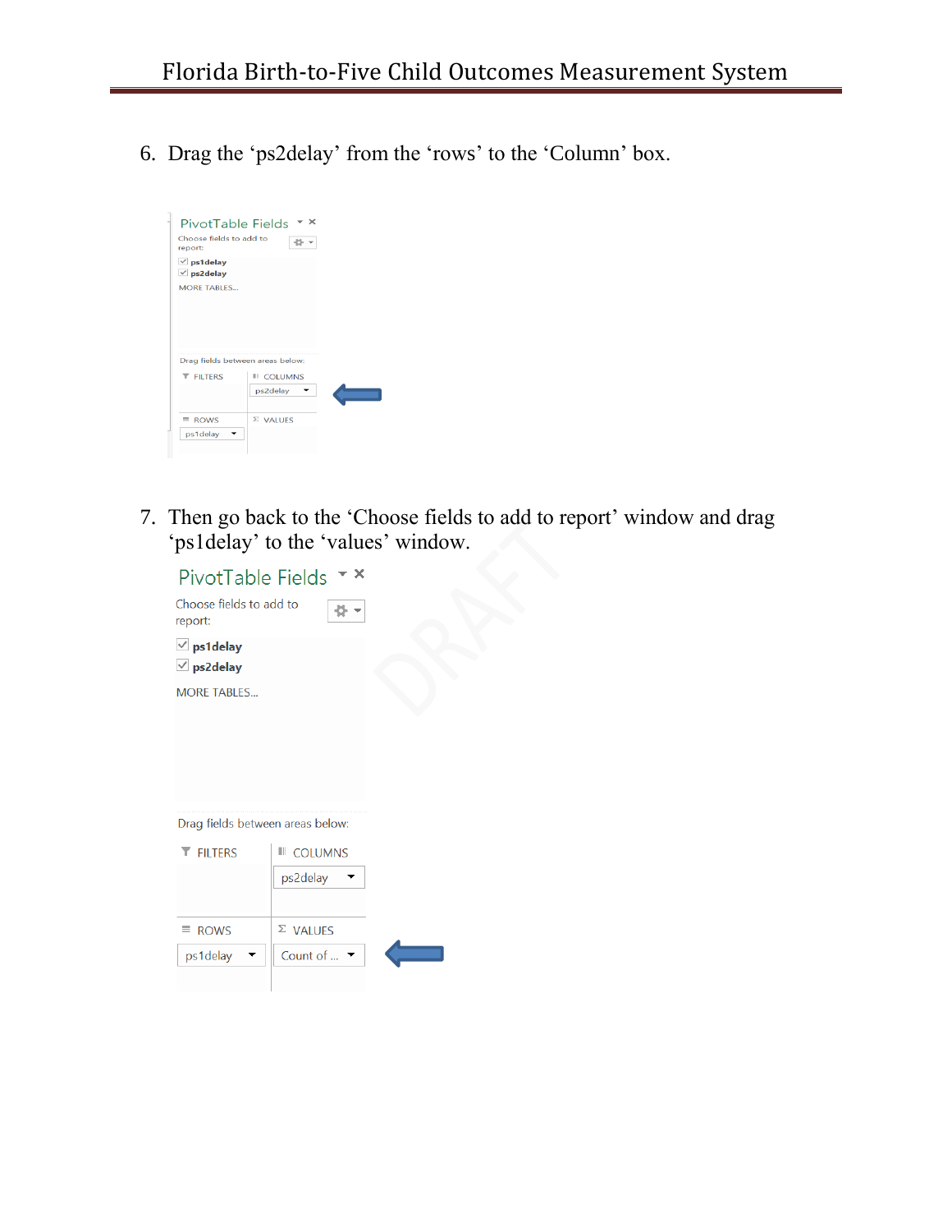6. Drag the 'ps2delay' from the 'rows' to the 'Column' box.



7. Then go back to the 'Choose fields to add to report' window and drag 'ps1delay' to the 'values' window.



Drag fields between areas below:

| <b>T</b> FILTERS | <b>III</b> COLUMNS<br>ps2delay             |  |
|------------------|--------------------------------------------|--|
| $\equiv$ ROWS    | $\Sigma$ VALUES                            |  |
| ps1delay         | Count of $\mathbb{R}$ $\blacktriangledown$ |  |